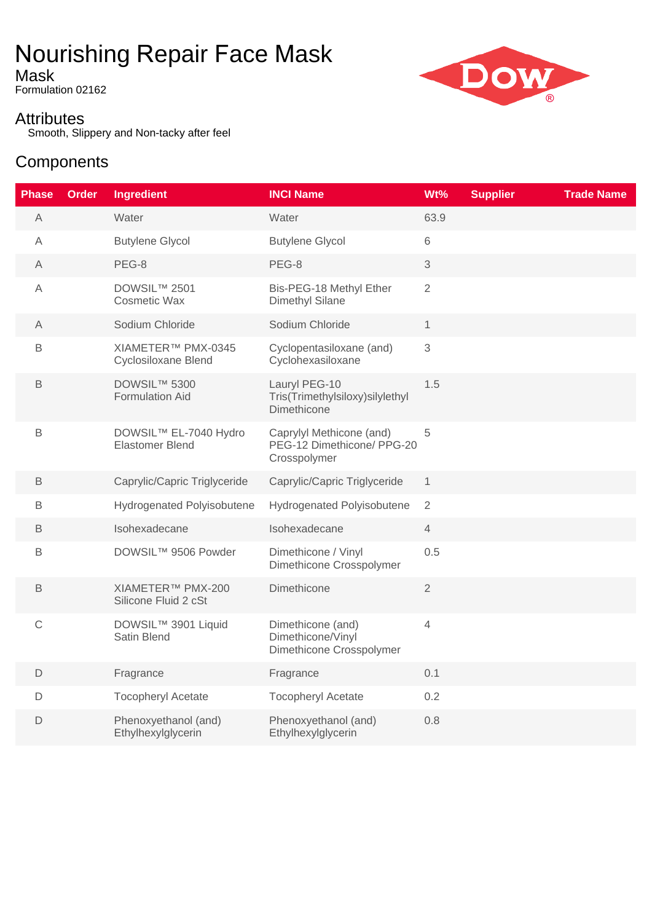# Nourishing Repair Face Mask

Mask

Formulation 02162

### **Attributes**

Smooth, Slippery and Non-tacky after feel

## **Components**

| <b>Phase</b>   | <b>Order</b> | <b>Ingredient</b>                               | <b>INCI Name</b>                                                       | Wt%            | <b>Supplier</b> | <b>Trade Name</b> |
|----------------|--------------|-------------------------------------------------|------------------------------------------------------------------------|----------------|-----------------|-------------------|
| $\mathsf{A}$   |              | Water                                           | Water                                                                  | 63.9           |                 |                   |
| $\overline{A}$ |              | <b>Butylene Glycol</b>                          | <b>Butylene Glycol</b>                                                 | 6              |                 |                   |
| A              |              | PEG-8                                           | PEG-8                                                                  | 3              |                 |                   |
| Α              |              | DOWSIL™ 2501<br><b>Cosmetic Wax</b>             | Bis-PEG-18 Methyl Ether<br><b>Dimethyl Silane</b>                      | $\overline{2}$ |                 |                   |
| Α              |              | Sodium Chloride                                 | Sodium Chloride                                                        | $\mathbf{1}$   |                 |                   |
| $\mathsf B$    |              | XIAMETER™ PMX-0345<br>Cyclosiloxane Blend       | Cyclopentasiloxane (and)<br>Cyclohexasiloxane                          | 3              |                 |                   |
| $\mathsf B$    |              | DOWSIL™ 5300<br>Formulation Aid                 | Lauryl PEG-10<br>Tris(Trimethylsiloxy)silylethyl<br>Dimethicone        | 1.5            |                 |                   |
| $\mathsf B$    |              | DOWSIL™ EL-7040 Hydro<br><b>Elastomer Blend</b> | Caprylyl Methicone (and)<br>PEG-12 Dimethicone/ PPG-20<br>Crosspolymer | 5              |                 |                   |
| В              |              | Caprylic/Capric Triglyceride                    | Caprylic/Capric Triglyceride                                           | $\mathbf{1}$   |                 |                   |
| $\mathsf B$    |              | <b>Hydrogenated Polyisobutene</b>               | Hydrogenated Polyisobutene                                             | $\overline{2}$ |                 |                   |
| B              |              | Isohexadecane                                   | Isohexadecane                                                          | $\overline{4}$ |                 |                   |
| $\mathsf B$    |              | DOWSIL™ 9506 Powder                             | Dimethicone / Vinyl<br>Dimethicone Crosspolymer                        | 0.5            |                 |                   |
| B              |              | XIAMETER™ PMX-200<br>Silicone Fluid 2 cSt       | Dimethicone                                                            | $\overline{2}$ |                 |                   |
| $\mathbb C$    |              | DOWSIL™ 3901 Liquid<br>Satin Blend              | Dimethicone (and)<br>Dimethicone/Vinyl<br>Dimethicone Crosspolymer     | 4              |                 |                   |
| D              |              | Fragrance                                       | Fragrance                                                              | 0.1            |                 |                   |
| $\mathsf D$    |              | <b>Tocopheryl Acetate</b>                       | <b>Tocopheryl Acetate</b>                                              | 0.2            |                 |                   |
| D              |              | Phenoxyethanol (and)<br>Ethylhexylglycerin      | Phenoxyethanol (and)<br>Ethylhexylglycerin                             | 0.8            |                 |                   |